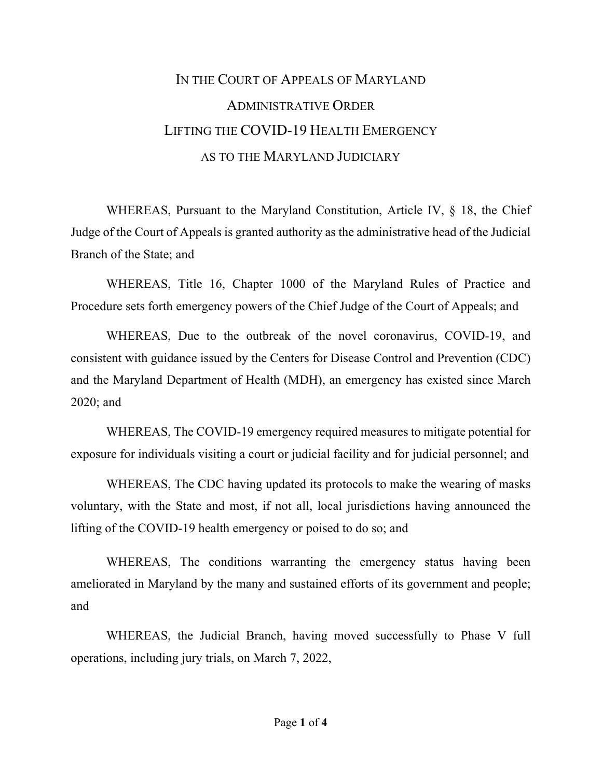## IN THE COURT OF APPEALS OF MARYLAND ADMINISTRATIVE ORDER LIFTING THE COVID-19 HEALTH EMERGENCY AS TO THE MARYLAND JUDICIARY

WHEREAS, Pursuant to the Maryland Constitution, Article IV, § 18, the Chief Judge of the Court of Appeals is granted authority as the administrative head of the Judicial Branch of the State; and

WHEREAS, Title 16, Chapter 1000 of the Maryland Rules of Practice and Procedure sets forth emergency powers of the Chief Judge of the Court of Appeals; and

WHEREAS, Due to the outbreak of the novel coronavirus, COVID-19, and consistent with guidance issued by the Centers for Disease Control and Prevention (CDC) and the Maryland Department of Health (MDH), an emergency has existed since March 2020; and

WHEREAS, The COVID-19 emergency required measures to mitigate potential for exposure for individuals visiting a court or judicial facility and for judicial personnel; and

WHEREAS, The CDC having updated its protocols to make the wearing of masks voluntary, with the State and most, if not all, local jurisdictions having announced the lifting of the COVID-19 health emergency or poised to do so; and

WHEREAS, The conditions warranting the emergency status having been ameliorated in Maryland by the many and sustained efforts of its government and people; and

WHEREAS, the Judicial Branch, having moved successfully to Phase V full operations, including jury trials, on March 7, 2022,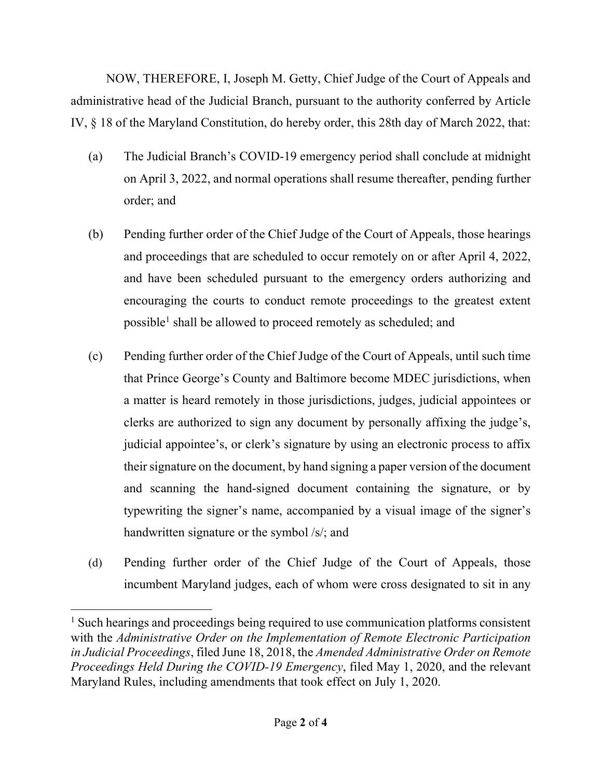NOW, THEREFORE, I, Joseph M. Getty, Chief Judge of the Court of Appeals and administrative head of the Judicial Branch, pursuant to the authority conferred by Article IV, § 18 of the Maryland Constitution, do hereby order, this 28th day of March 2022, that:

- (a) The Judicial Branch's COVID-19 emergency period shall conclude at midnight on April 3, 2022, and normal operations shall resume thereafter, pending further order; and
- (b) Pending further order of the Chief Judge of the Court of Appeals, those hearings and proceedings that are scheduled to occur remotely on or after April 4, 2022, and have been scheduled pursuant to the emergency orders authorizing and encouraging the courts to conduct remote proceedings to the greatest extent possible<sup>1</sup> shall be allowed to proceed remotely as scheduled; and
- (c) Pending further order of the Chief Judge of the Court of Appeals, until such time that Prince George's County and Baltimore become MDEC jurisdictions, when a matter is heard remotely in those jurisdictions, judges, judicial appointees or clerks are authorized to sign any document by personally affixing the judge's, judicial appointee's, or clerk's signature by using an electronic process to affix their signature on the document, by hand signing a paper version of the document and scanning the hand-signed document containing the signature, or by typewriting the signer's name, accompanied by a visual image of the signer's handwritten signature or the symbol /s/; and
- (d) Pending further order of the Chief Judge of the Court of Appeals, those incumbent Maryland judges, each of whom were cross designated to sit in any

<sup>&</sup>lt;sup>1</sup> Such hearings and proceedings being required to use communication platforms consistent with the *Administrative Order on the Implementation of Remote Electronic Participation in Judicial Proceedings*, filed June 18, 2018, the *Amended Administrative Order on Remote Proceedings Held During the COVID-19 Emergency*, filed May 1, 2020, and the relevant Maryland Rules, including amendments that took effect on July 1, 2020.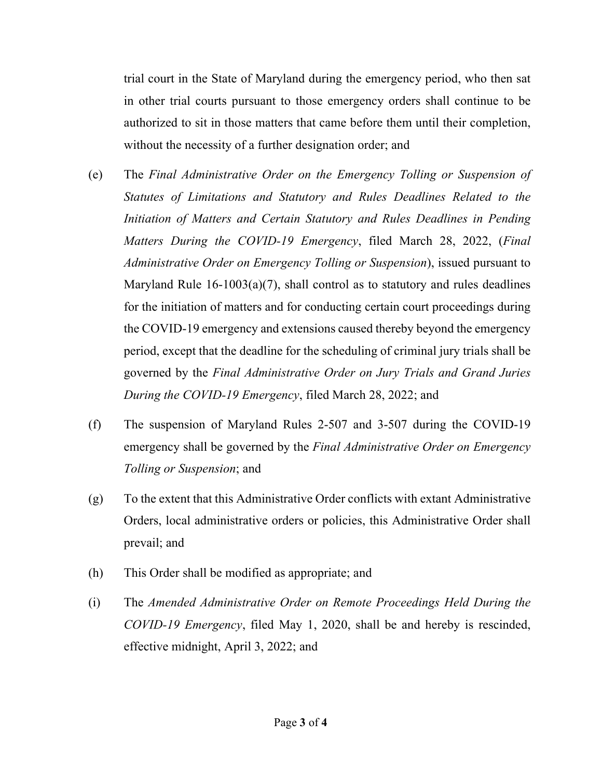trial court in the State of Maryland during the emergency period, who then sat in other trial courts pursuant to those emergency orders shall continue to be authorized to sit in those matters that came before them until their completion, without the necessity of a further designation order; and

- (e) The *Final Administrative Order on the Emergency Tolling or Suspension of Statutes of Limitations and Statutory and Rules Deadlines Related to the Initiation of Matters and Certain Statutory and Rules Deadlines in Pending Matters During the COVID-19 Emergency*, filed March 28, 2022, (*Final Administrative Order on Emergency Tolling or Suspension*), issued pursuant to Maryland Rule 16-1003(a)(7), shall control as to statutory and rules deadlines for the initiation of matters and for conducting certain court proceedings during the COVID-19 emergency and extensions caused thereby beyond the emergency period, except that the deadline for the scheduling of criminal jury trials shall be governed by the *Final Administrative Order on Jury Trials and Grand Juries During the COVID-19 Emergency*, filed March 28, 2022; and
- (f) The suspension of Maryland Rules 2-507 and 3-507 during the COVID-19 emergency shall be governed by the *Final Administrative Order on Emergency Tolling or Suspension*; and
- (g) To the extent that this Administrative Order conflicts with extant Administrative Orders, local administrative orders or policies, this Administrative Order shall prevail; and
- (h) This Order shall be modified as appropriate; and
- (i) The *Amended Administrative Order on Remote Proceedings Held During the COVID-19 Emergency*, filed May 1, 2020, shall be and hereby is rescinded, effective midnight, April 3, 2022; and